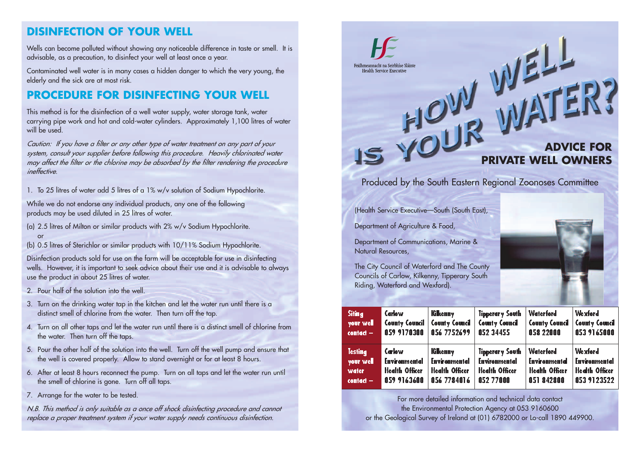# **DISINFECTION OF YOUR WELL**

Wells can become polluted without showing any noticeable difference in taste or smell. It is advisable, as a precaution, to disinfect your well at least once a year.

Contaminated well water is in many cases a hidden danger to which the very young, the elderly and the sick are at most risk.

# **PROCEDURE FOR DISINFECTING YOUR WELL**

This method is for the disinfection of a well water supply, water storage tank, water carrying pipe work and hot and cold-water cylinders. Approximately 1,100 litres of water will be used.

*Caution: If you have a filter or any other type of water treatment on any part of your system, consult your supplier before following this procedure. Heavily chlorinated water may affect the filter or the chlorine may be absorbed by the filter rendering the procedure ineffective.*

1. To 25 litres of water add 5 litres of a 1% w/v solution of Sodium Hypochlorite.

While we do not endorse any individual products, any one of the following products may be used diluted in 25 litres of water.

- (a) 2.5 litres of Milton or similar products with 2% w/v Sodium Hypochlorite. or
- (b) 0.5 litres of Sterichlor or similar products with 10/11% Sodium Hypochlorite.

Disinfection products sold for use on the farm will be acceptable for use in disinfecting wells. However, it is important to seek advice about their use and it is advisable to always use the product in about 25 litres of water.

- 2. Pour half of the solution into the well.
- 3. Turn on the drinking water tap in the kitchen and let the water run until there is a distinct smell of chlorine from the water. Then turn off the tap.
- 4. Turn on all other taps and let the water run until there is a distinct smell of chlorine from the water. Then turn off the taps.
- 5. Pour the other half of the solution into the well. Turn off the well pump and ensure that the well is covered properly. Allow to stand overnight or for at least 8 hours.
- 6. After at least 8 hours reconnect the pump. Turn on all taps and let the water run until the smell of chlorine is gone. Turn off all taps.
- 7. Arrange for the water to be tested.

*N.B. This method is only suitable as a once off shock disinfecting procedure and cannot replace a proper treatment system if your water supply needs continuous disinfection.*



For more detailed information and technical data contact the Environmental Protection Agency at 053 9160600 or the Geological Survey of Ireland at (01) 6782000 or Lo-call 1890 449900.